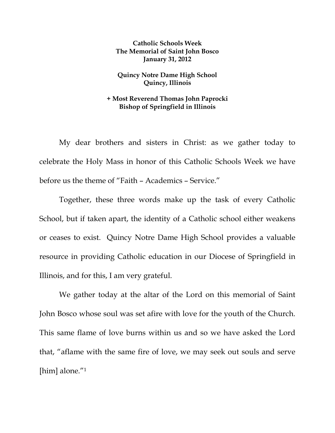**Catholic Schools Week The Memorial of Saint John Bosco January 31, 2012** 

**Quincy Notre Dame High School Quincy, Illinois** 

## **+ Most Reverend Thomas John Paprocki Bishop of Springfield in Illinois**

My dear brothers and sisters in Christ: as we gather today to celebrate the Holy Mass in honor of this Catholic Schools Week we have before us the theme of "Faith – Academics – Service."

Together, these three words make up the task of every Catholic School, but if taken apart, the identity of a Catholic school either weakens or ceases to exist. Quincy Notre Dame High School provides a valuable resource in providing Catholic education in our Diocese of Springfield in Illinois, and for this, I am very grateful.

We gather today at the altar of the Lord on this memorial of Saint John Bosco whose soul was set afire with love for the youth of the Church. This same flame of love burns within us and so we have asked the Lord that, "aflame with the same fire of love, we may seek out souls and serve [him] alone."<sup>1</sup>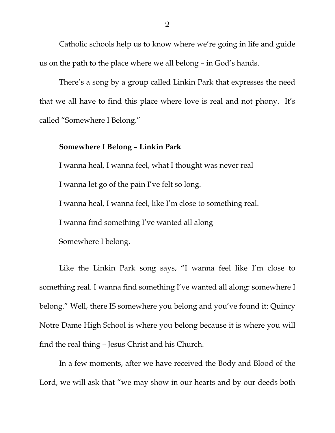Catholic schools help us to know where we're going in life and guide us on the path to the place where we all belong – in God's hands.

There's a song by a group called Linkin Park that expresses the need that we all have to find this place where love is real and not phony. It's called "Somewhere I Belong."

## **Somewhere I Belong – Linkin Park**

I wanna heal, I wanna feel, what I thought was never real I wanna let go of the pain I've felt so long. I wanna heal, I wanna feel, like I'm close to something real. I wanna find something I've wanted all along Somewhere I belong.

Like the Linkin Park song says, "I wanna feel like I'm close to something real. I wanna find something I've wanted all along: somewhere I belong." Well, there IS somewhere you belong and you've found it: Quincy Notre Dame High School is where you belong because it is where you will find the real thing – Jesus Christ and his Church.

In a few moments, after we have received the Body and Blood of the Lord, we will ask that "we may show in our hearts and by our deeds both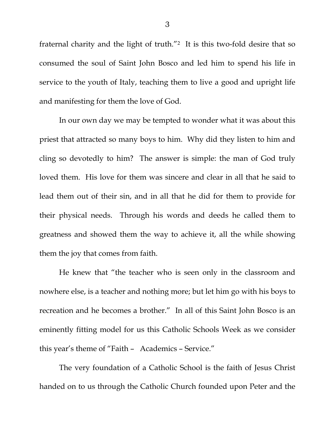fraternal charity and the light of truth."2 It is this two-fold desire that so consumed the soul of Saint John Bosco and led him to spend his life in service to the youth of Italy, teaching them to live a good and upright life and manifesting for them the love of God.

In our own day we may be tempted to wonder what it was about this priest that attracted so many boys to him. Why did they listen to him and cling so devotedly to him? The answer is simple: the man of God truly loved them. His love for them was sincere and clear in all that he said to lead them out of their sin, and in all that he did for them to provide for their physical needs. Through his words and deeds he called them to greatness and showed them the way to achieve it, all the while showing them the joy that comes from faith.

He knew that "the teacher who is seen only in the classroom and nowhere else, is a teacher and nothing more; but let him go with his boys to recreation and he becomes a brother." In all of this Saint John Bosco is an eminently fitting model for us this Catholic Schools Week as we consider this year's theme of "Faith – Academics – Service."

The very foundation of a Catholic School is the faith of Jesus Christ handed on to us through the Catholic Church founded upon Peter and the

3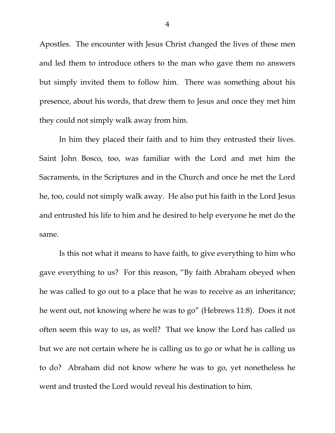Apostles. The encounter with Jesus Christ changed the lives of these men and led them to introduce others to the man who gave them no answers but simply invited them to follow him. There was something about his presence, about his words, that drew them to Jesus and once they met him they could not simply walk away from him.

In him they placed their faith and to him they entrusted their lives. Saint John Bosco, too, was familiar with the Lord and met him the Sacraments, in the Scriptures and in the Church and once he met the Lord he, too, could not simply walk away. He also put his faith in the Lord Jesus and entrusted his life to him and he desired to help everyone he met do the same.

Is this not what it means to have faith, to give everything to him who gave everything to us? For this reason, "By faith Abraham obeyed when he was called to go out to a place that he was to receive as an inheritance; he went out, not knowing where he was to go" (Hebrews 11:8). Does it not often seem this way to us, as well? That we know the Lord has called us but we are not certain where he is calling us to go or what he is calling us to do? Abraham did not know where he was to go, yet nonetheless he went and trusted the Lord would reveal his destination to him.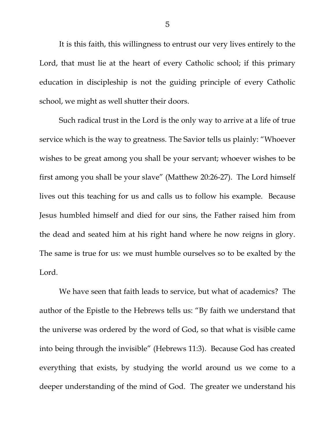It is this faith, this willingness to entrust our very lives entirely to the Lord, that must lie at the heart of every Catholic school; if this primary education in discipleship is not the guiding principle of every Catholic school, we might as well shutter their doors.

Such radical trust in the Lord is the only way to arrive at a life of true service which is the way to greatness. The Savior tells us plainly: "Whoever wishes to be great among you shall be your servant; whoever wishes to be first among you shall be your slave" (Matthew 20:26-27). The Lord himself lives out this teaching for us and calls us to follow his example. Because Jesus humbled himself and died for our sins, the Father raised him from the dead and seated him at his right hand where he now reigns in glory. The same is true for us: we must humble ourselves so to be exalted by the Lord.

We have seen that faith leads to service, but what of academics? The author of the Epistle to the Hebrews tells us: "By faith we understand that the universe was ordered by the word of God, so that what is visible came into being through the invisible" (Hebrews 11:3). Because God has created everything that exists, by studying the world around us we come to a deeper understanding of the mind of God. The greater we understand his